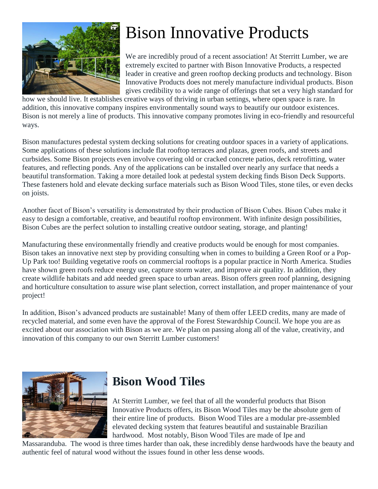

# Bison Innovative Products

We are incredibly proud of a recent association! At Sterritt Lumber, we are extremely excited to partner with Bison Innovative Products, a respected leader in creative and green rooftop decking products and technology. Bison Innovative Products does not merely manufacture individual products. Bison gives credibility to a wide range of offerings that set a very high standard for

how we should live. It establishes creative ways of thriving in urban settings, where open space is rare. In addition, this innovative company inspires environmentally sound ways to beautify our outdoor existences. Bison is not merely a line of products. This innovative company promotes living in eco-friendly and resourceful ways.

Bison manufactures pedestal system decking solutions for creating outdoor spaces in a variety of applications. Some applications of these solutions include flat rooftop terraces and plazas, green roofs, and streets and curbsides. Some Bison projects even involve covering old or cracked concrete patios, deck retrofitting, water features, and reflecting ponds. Any of the applications can be installed over nearly any surface that needs a beautiful transformation. Taking a more detailed look at pedestal system decking finds Bison Deck Supports. These fasteners hold and elevate decking surface materials such as Bison Wood Tiles, stone tiles, or even decks on joists.

Another facet of Bison's versatility is demonstrated by their production of Bison Cubes. Bison Cubes make it easy to design a comfortable, creative, and beautiful rooftop environment. With infinite design possibilities, Bison Cubes are the perfect solution to installing creative outdoor seating, storage, and planting!

Manufacturing these environmentally friendly and creative products would be enough for most companies. Bison takes an innovative next step by providing consulting when in comes to building a Green Roof or a Pop-Up Park too! Building vegetative roofs on commercial rooftops is a popular practice in North America. Studies have shown green roofs reduce energy use, capture storm water, and improve air quality. In addition, they create wildlife habitats and add needed green space to urban areas. Bison offers green roof planning, designing and horticulture consultation to assure wise plant selection, correct installation, and proper maintenance of your project!

In addition, Bison's advanced products are sustainable! Many of them offer LEED credits, many are made of recycled material, and some even have the approval of the Forest Stewardship Council. We hope you are as excited about our association with Bison as we are. We plan on passing along all of the value, creativity, and innovation of this company to our own Sterritt Lumber customers!



### **Bison Wood Tiles**

At Sterritt Lumber, we feel that of all the wonderful products that Bison Innovative Products offers, its Bison Wood Tiles may be the absolute gem of their entire line of products. Bison Wood Tiles are a modular pre-assembled elevated decking system that features beautiful and sustainable Brazilian hardwood. Most notably, Bison Wood Tiles are made of Ipe and

Massaranduba. The wood is three times harder than oak, these incredibly dense hardwoods have the beauty and authentic feel of natural wood without the issues found in other less dense woods.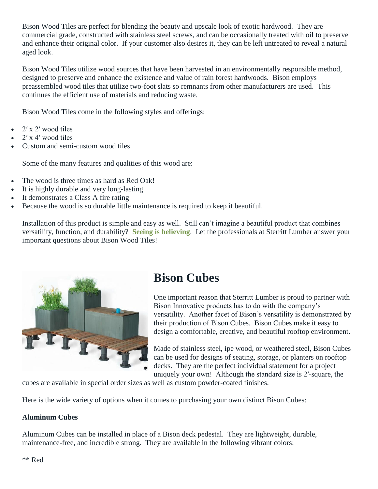Bison Wood Tiles are perfect for blending the beauty and upscale look of exotic hardwood. They are commercial grade, constructed with stainless steel screws, and can be occasionally treated with oil to preserve and enhance their original color. If your customer also desires it, they can be left untreated to reveal a natural aged look.

Bison Wood Tiles utilize wood sources that have been harvested in an environmentally responsible method, designed to preserve and enhance the existence and value of rain forest hardwoods. Bison employs preassembled wood tiles that utilize two-foot slats so remnants from other manufacturers are used. This continues the efficient use of materials and reducing waste.

Bison Wood Tiles come in the following styles and offerings:

- 2′ x 2′ wood tiles
- 2′ x 4′ wood tiles
- Custom and semi-custom wood tiles

Some of the many features and qualities of this wood are:

- The wood is three times as hard as Red Oak!
- It is highly durable and very long-lasting
- It demonstrates a Class A fire rating
- Because the wood is so durable little maintenance is required to keep it beautiful.

Installation of this product is simple and easy as well. Still can't imagine a beautiful product that combines versatility, function, and durability? **[Seeing is believing](http://www.youtube.com/watch?v=P6p6h0YVKzA)**. Let the professionals at Sterritt Lumber answer your important questions about Bison Wood Tiles!



### **Bison Cubes**

One important reason that Sterritt Lumber is proud to partner with Bison Innovative products has to do with the company's versatility. Another facet of Bison's versatility is demonstrated by their production of Bison Cubes. Bison Cubes make it easy to design a comfortable, creative, and beautiful rooftop environment.

Made of stainless steel, ipe wood, or weathered steel, Bison Cubes can be used for designs of seating, storage, or planters on rooftop decks. They are the perfect individual statement for a project uniquely your own! Although the standard size is 2′-square, the

cubes are available in special order sizes as well as custom powder-coated finishes.

Here is the wide variety of options when it comes to purchasing your own distinct Bison Cubes:

#### **Aluminum Cubes**

Aluminum Cubes can be installed in place of a Bison deck pedestal. They are lightweight, durable, maintenance-free, and incredible strong. They are available in the following vibrant colors: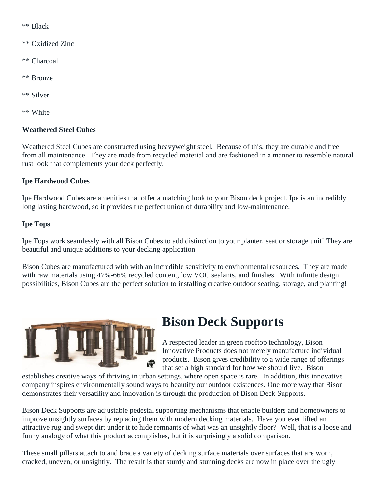\*\* Black

- \*\* Oxidized Zinc
- \*\* Charcoal
- \*\* Bronze
- \*\* Silver
- \*\* White

#### **Weathered Steel Cubes**

Weathered Steel Cubes are constructed using heavyweight steel. Because of this, they are durable and free from all maintenance. They are made from recycled material and are fashioned in a manner to resemble natural rust look that complements your deck perfectly.

#### **Ipe Hardwood Cubes**

Ipe Hardwood Cubes are amenities that offer a matching look to your Bison deck project. Ipe is an incredibly long lasting hardwood, so it provides the perfect union of durability and low-maintenance.

#### **Ipe Tops**

Ipe Tops work seamlessly with all Bison Cubes to add distinction to your planter, seat or storage unit! They are beautiful and unique additions to your decking application.

Bison Cubes are manufactured with with an incredible sensitivity to environmental resources. They are made with raw materials using 47%-66% recycled content, low VOC sealants, and finishes. With infinite design possibilities, Bison Cubes are the perfect solution to installing creative outdoor seating, storage, and planting!



### **Bison Deck Supports**

A respected leader in green rooftop technology, Bison Innovative Products does not merely manufacture individual products. Bison gives credibility to a wide range of offerings that set a high standard for how we should live. Bison

establishes creative ways of thriving in urban settings, where open space is rare. In addition, this innovative company inspires environmentally sound ways to beautify our outdoor existences. One more way that Bison demonstrates their versatility and innovation is through the production of Bison Deck Supports.

Bison Deck Supports are adjustable pedestal supporting mechanisms that enable builders and homeowners to improve unsightly surfaces by replacing them with modern decking materials. Have you ever lifted an attractive rug and swept dirt under it to hide remnants of what was an unsightly floor? Well, that is a loose and funny analogy of what this product accomplishes, but it is surprisingly a solid comparison.

These small pillars attach to and brace a variety of decking surface materials over surfaces that are worn, cracked, uneven, or unsightly. The result is that sturdy and stunning decks are now in place over the ugly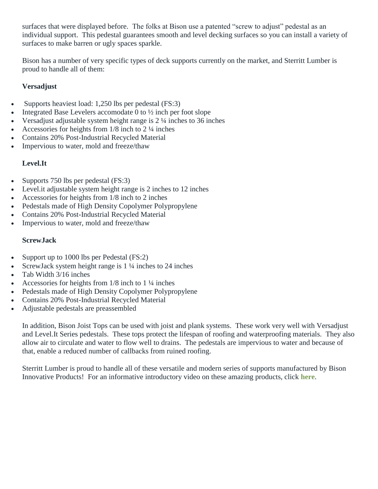surfaces that were displayed before. The folks at Bison use a patented "screw to adjust" pedestal as an individual support. This pedestal guarantees smooth and level decking surfaces so you can install a variety of surfaces to make barren or ugly spaces sparkle.

Bison has a number of very specific types of deck supports currently on the market, and Sterritt Lumber is proud to handle all of them:

#### **Versadjust**

- Supports heaviest load: 1,250 lbs per pedestal (FS:3)
- Integrated Base Levelers accomodate 0 to ½ inch per foot slope
- Versadjust adjustable system height range is 2 ¼ inches to 36 inches
- Accessories for heights from 1/8 inch to 2  $\frac{1}{4}$  inches
- Contains 20% Post-Industrial Recycled Material
- Impervious to water, mold and freeze/thaw

#### **Level.It**

- Supports 750 lbs per pedestal  $(FS:3)$
- Level.it adjustable system height range is 2 inches to 12 inches
- Accessories for heights from 1/8 inch to 2 inches
- Pedestals made of High Density Copolymer Polypropylene
- Contains 20% Post-Industrial Recycled Material
- Impervious to water, mold and freeze/thaw

#### **ScrewJack**

- Support up to 1000 lbs per Pedestal (FS:2)
- ScrewJack system height range is 1 ¼ inches to 24 inches
- Tab Width 3/16 inches
- Accessories for heights from 1/8 inch to 1 ¼ inches
- Pedestals made of High Density Copolymer Polypropylene
- Contains 20% Post-Industrial Recycled Material
- Adjustable pedestals are preassembled

In addition, Bison Joist Tops can be used with joist and plank systems. These work very well with Versadjust and Level.It Series pedestals. These tops protect the lifespan of roofing and waterproofing materials. They also allow air to circulate and water to flow well to drains. The pedestals are impervious to water and because of that, enable a reduced number of callbacks from ruined roofing.

Sterritt Lumber is proud to handle all of these versatile and modern series of supports manufactured by Bison Innovative Products! For an informative introductory video on these amazing products, click **[here](http://www.youtube.com/watch?v=K3Zp1EzxTkM)**.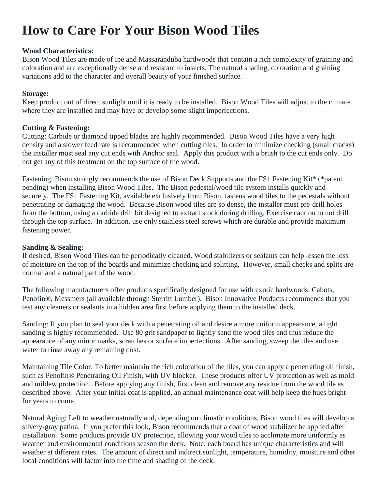## **How to Care For Your Bison Wood Tiles**

#### **Wood Characteristics:**

Bison Wood Tiles are made of Ipe and Massaranduba hardwoods that contain a rich complexity of graining and coloration and are exceptionally dense and resistant to insects. The natural shading, coloration and graining variations add to the character and overall beauty of your finished surface.

#### **Storage:**

Keep product out of direct sunlight until it is ready to be installed. Bison Wood Tiles will adjust to the climate where they are installed and may have or develop some slight imperfections.

#### **Cutting & Fastening:**

Cutting: Carbide or diamond tipped blades are highly recommended. Bison Wood Tiles have a very high density and a slower feed rate is recommended when cutting tiles. In order to minimize checking (small cracks) the installer must seal any cut ends with Anchor seal. Apply this product with a brush to the cut ends only. Do not get any of this treatment on the top surface of the wood.

Fastening: Bison strongly recommends the use of Bison Deck Supports and the FS1 Fastening Kit\* (\*patent pending) when installing Bison Wood Tiles. The Bison pedestal/wood tile system installs quickly and securely. The FS1 Fastening Kit, available exclusively from Bison, fastens wood tiles to the pedestals without penetrating or damaging the wood. Because Bison wood tiles are so dense, the installer must pre-drill holes from the bottom, using a carbide drill bit designed to extract stock during drilling. Exercise caution to not drill through the top surface. In addition, use only stainless steel screws which are durable and provide maximum fastening power.

#### **Sanding & Sealing:**

If desired, Bison Wood Tiles can be periodically cleaned. Wood stabilizers or sealants can help lessen the loss of moisture on the top of the boards and minimize checking and splitting. However, small checks and splits are normal and a natural part of the wood.

The following manufacturers offer products specifically designed for use with exotic hardwoods: Cabots, Penofin®, Messmers (all available through Sterritt Lumber). Bison Innovative Products recommends that you test any cleaners or sealants in a hidden area first before applying them to the installed deck.

Sanding: If you plan to seal your deck with a penetrating oil and desire a more uniform appearance, a light sanding is highly recommended. Use 80 grit sandpaper to lightly sand the wood tiles and thus reduce the appearance of any minor marks, scratches or surface imperfections. After sanding, sweep the tiles and use water to rinse away any remaining dust.

Maintaining Tile Color: To better maintain the rich coloration of the tiles, you can apply a penetrating oil finish, such as Penofin® Penetrating Oil Finish, with UV blocker. These products offer UV protection as well as mold and mildew protection. Before applying any finish, first clean and remove any residue from the wood tile as described above. After your initial coat is applied, an annual maintenance coat will help keep the hues bright for years to come.

Natural Aging: Left to weather naturally and, depending on climatic conditions, Bison wood tiles will develop a silvery-gray patina. If you prefer this look, Bison recommends that a coat of wood stabilizer be applied after installation. Some products provide UV protection, allowing your wood tiles to acclimate more uniformly as weather and environmental conditions season the deck. Note: each board has unique characteristics and will weather at different rates. The amount of direct and indirect sunlight, temperature, humidity, moisture and other local conditions will factor into the time and shading of the deck.